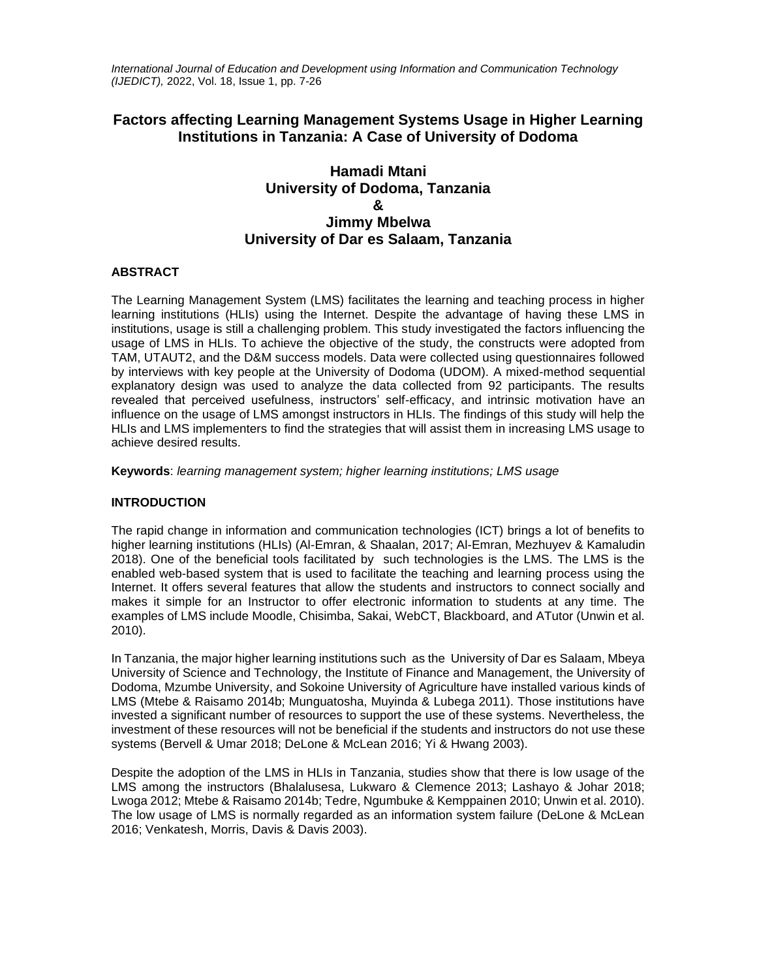*International Journal of Education and Development using Information and Communication Technology (IJEDICT),* 2022, Vol. 18, Issue 1, pp. 7-26

# **Factors affecting Learning Management Systems Usage in Higher Learning Institutions in Tanzania: A Case of University of Dodoma**

# **Hamadi Mtani University of Dodoma, Tanzania & Jimmy Mbelwa University of Dar es Salaam, Tanzania**

# **ABSTRACT**

The Learning Management System (LMS) facilitates the learning and teaching process in higher learning institutions (HLIs) using the Internet. Despite the advantage of having these LMS in institutions, usage is still a challenging problem. This study investigated the factors influencing the usage of LMS in HLIs. To achieve the objective of the study, the constructs were adopted from TAM, UTAUT2, and the D&M success models. Data were collected using questionnaires followed by interviews with key people at the University of Dodoma (UDOM). A mixed-method sequential explanatory design was used to analyze the data collected from 92 participants. The results revealed that perceived usefulness, instructors' self-efficacy, and intrinsic motivation have an influence on the usage of LMS amongst instructors in HLIs. The findings of this study will help the HLIs and LMS implementers to find the strategies that will assist them in increasing LMS usage to achieve desired results.

**Keywords**: *learning management system; higher learning institutions; LMS usage*

# **INTRODUCTION**

The rapid change in information and communication technologies (ICT) brings a lot of benefits to higher learning institutions (HLIs) (Al-Emran, & Shaalan, 2017; Al-Emran, Mezhuyev & Kamaludin 2018). One of the beneficial tools facilitated by such technologies is the LMS. The LMS is the enabled web-based system that is used to facilitate the teaching and learning process using the Internet. It offers several features that allow the students and instructors to connect socially and makes it simple for an Instructor to offer electronic information to students at any time. The examples of LMS include Moodle, Chisimba, Sakai, WebCT, Blackboard, and ATutor (Unwin et al. 2010).

In Tanzania, the major higher learning institutions such as the University of Dar es Salaam, Mbeya University of Science and Technology, the Institute of Finance and Management, the University of Dodoma, Mzumbe University, and Sokoine University of Agriculture have installed various kinds of LMS (Mtebe & Raisamo 2014b; Munguatosha, Muyinda & Lubega 2011). Those institutions have invested a significant number of resources to support the use of these systems. Nevertheless, the investment of these resources will not be beneficial if the students and instructors do not use these systems (Bervell & Umar 2018; DeLone & McLean 2016; Yi & Hwang 2003).

Despite the adoption of the LMS in HLIs in Tanzania, studies show that there is low usage of the LMS among the instructors (Bhalalusesa, Lukwaro & Clemence 2013; Lashayo & Johar 2018; Lwoga 2012; Mtebe & Raisamo 2014b; Tedre, Ngumbuke & Kemppainen 2010; Unwin et al. 2010). The low usage of LMS is normally regarded as an information system failure (DeLone & McLean 2016; Venkatesh, Morris, Davis & Davis 2003).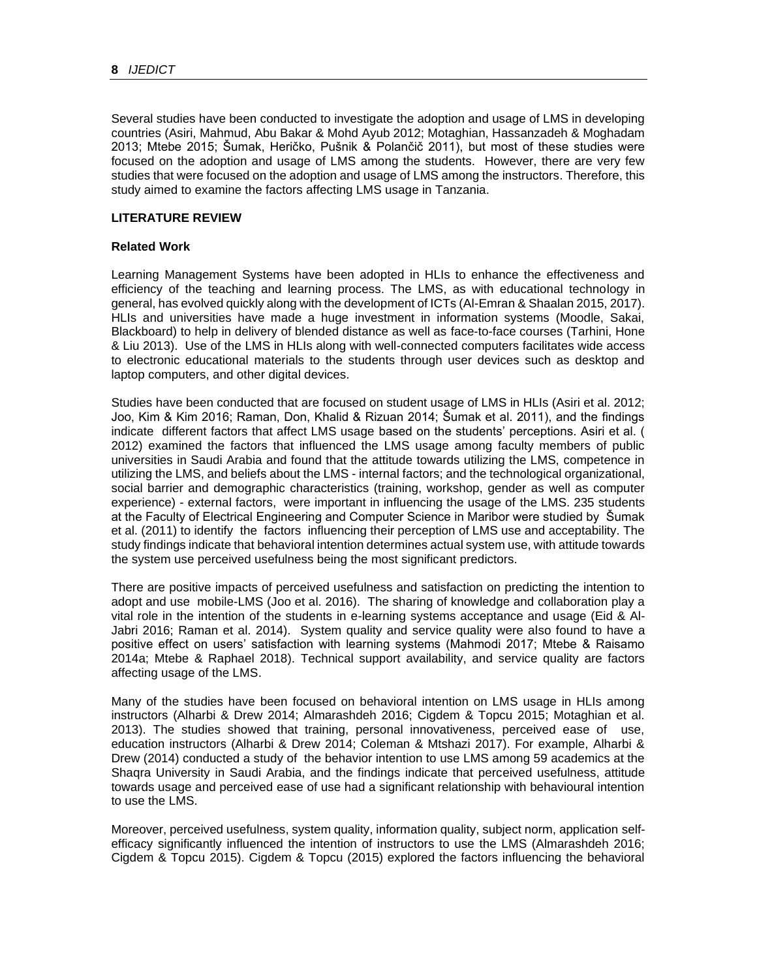Several studies have been conducted to investigate the adoption and usage of LMS in developing countries (Asiri, Mahmud, Abu Bakar & Mohd Ayub 2012; Motaghian, Hassanzadeh & Moghadam 2013; Mtebe 2015; Šumak, Heričko, Pušnik & Polančič 2011), but most of these studies were focused on the adoption and usage of LMS among the students. However, there are very few studies that were focused on the adoption and usage of LMS among the instructors. Therefore, this study aimed to examine the factors affecting LMS usage in Tanzania.

# **LITERATURE REVIEW**

# **Related Work**

Learning Management Systems have been adopted in HLIs to enhance the effectiveness and efficiency of the teaching and learning process. The LMS, as with educational technology in general, has evolved quickly along with the development of ICTs (Al-Emran & Shaalan 2015, 2017). HLIs and universities have made a huge investment in information systems (Moodle, Sakai, Blackboard) to help in delivery of blended distance as well as face-to-face courses (Tarhini, Hone & Liu 2013). Use of the LMS in HLIs along with well-connected computers facilitates wide access to electronic educational materials to the students through user devices such as desktop and laptop computers, and other digital devices.

Studies have been conducted that are focused on student usage of LMS in HLIs (Asiri et al. 2012; Joo, Kim & Kim 2016; Raman, Don, Khalid & Rizuan 2014; Šumak et al. 2011), and the findings indicate different factors that affect LMS usage based on the students' perceptions. Asiri et al. ( 2012) examined the factors that influenced the LMS usage among faculty members of public universities in Saudi Arabia and found that the attitude towards utilizing the LMS, competence in utilizing the LMS, and beliefs about the LMS - internal factors; and the technological organizational, social barrier and demographic characteristics (training, workshop, gender as well as computer experience) - external factors, were important in influencing the usage of the LMS. 235 students at the Faculty of Electrical Engineering and Computer Science in Maribor were studied by Šumak et al. (2011) to identify the factors influencing their perception of LMS use and acceptability. The study findings indicate that behavioral intention determines actual system use, with attitude towards the system use perceived usefulness being the most significant predictors.

There are positive impacts of perceived usefulness and satisfaction on predicting the intention to adopt and use mobile-LMS (Joo et al. 2016). The sharing of knowledge and collaboration play a vital role in the intention of the students in e-learning systems acceptance and usage (Eid & Al-Jabri 2016; Raman et al. 2014). System quality and service quality were also found to have a positive effect on users' satisfaction with learning systems (Mahmodi 2017; Mtebe & Raisamo 2014a; Mtebe & Raphael 2018). Technical support availability, and service quality are factors affecting usage of the LMS.

Many of the studies have been focused on behavioral intention on LMS usage in HLIs among instructors (Alharbi & Drew 2014; Almarashdeh 2016; Cigdem & Topcu 2015; Motaghian et al. 2013). The studies showed that training, personal innovativeness, perceived ease of use, education instructors (Alharbi & Drew 2014; Coleman & Mtshazi 2017). For example, Alharbi & Drew (2014) conducted a study of the behavior intention to use LMS among 59 academics at the Shaqra University in Saudi Arabia, and the findings indicate that perceived usefulness, attitude towards usage and perceived ease of use had a significant relationship with behavioural intention to use the LMS.

Moreover, perceived usefulness, system quality, information quality, subject norm, application selfefficacy significantly influenced the intention of instructors to use the LMS (Almarashdeh 2016; Cigdem & Topcu 2015). Cigdem & Topcu (2015) explored the factors influencing the behavioral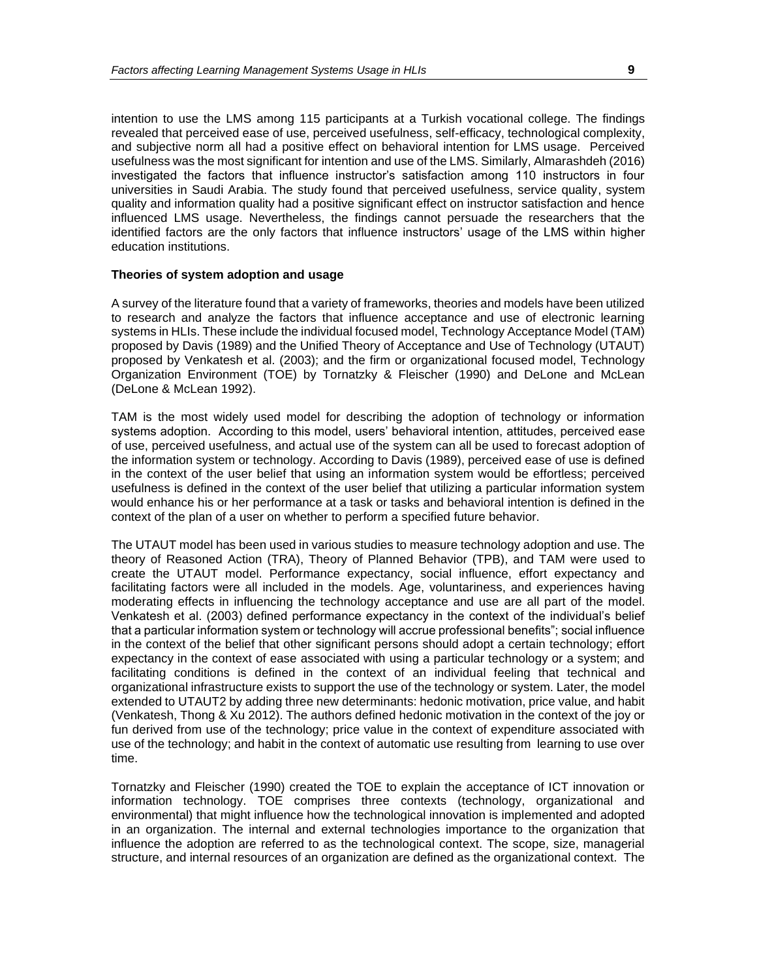intention to use the LMS among 115 participants at a Turkish vocational college. The findings revealed that perceived ease of use, perceived usefulness, self-efficacy, technological complexity, and subjective norm all had a positive effect on behavioral intention for LMS usage. Perceived usefulness was the most significant for intention and use of the LMS. Similarly, Almarashdeh (2016) investigated the factors that influence instructor's satisfaction among 110 instructors in four universities in Saudi Arabia. The study found that perceived usefulness, service quality, system quality and information quality had a positive significant effect on instructor satisfaction and hence influenced LMS usage. Nevertheless, the findings cannot persuade the researchers that the identified factors are the only factors that influence instructors' usage of the LMS within higher education institutions.

#### **Theories of system adoption and usage**

A survey of the literature found that a variety of frameworks, theories and models have been utilized to research and analyze the factors that influence acceptance and use of electronic learning systems in HLIs. These include the individual focused model, Technology Acceptance Model (TAM) proposed by Davis (1989) and the Unified Theory of Acceptance and Use of Technology (UTAUT) proposed by Venkatesh et al. (2003); and the firm or organizational focused model, Technology Organization Environment (TOE) by Tornatzky & Fleischer (1990) and DeLone and McLean (DeLone & McLean 1992).

TAM is the most widely used model for describing the adoption of technology or information systems adoption. According to this model, users' behavioral intention, attitudes, perceived ease of use, perceived usefulness, and actual use of the system can all be used to forecast adoption of the information system or technology. According to Davis (1989), perceived ease of use is defined in the context of the user belief that using an information system would be effortless; perceived usefulness is defined in the context of the user belief that utilizing a particular information system would enhance his or her performance at a task or tasks and behavioral intention is defined in the context of the plan of a user on whether to perform a specified future behavior.

The UTAUT model has been used in various studies to measure technology adoption and use. The theory of Reasoned Action (TRA), Theory of Planned Behavior (TPB), and TAM were used to create the UTAUT model. Performance expectancy, social influence, effort expectancy and facilitating factors were all included in the models. Age, voluntariness, and experiences having moderating effects in influencing the technology acceptance and use are all part of the model. Venkatesh et al. (2003) defined performance expectancy in the context of the individual's belief that a particular information system or technology will accrue professional benefits"; social influence in the context of the belief that other significant persons should adopt a certain technology; effort expectancy in the context of ease associated with using a particular technology or a system; and facilitating conditions is defined in the context of an individual feeling that technical and organizational infrastructure exists to support the use of the technology or system. Later, the model extended to UTAUT2 by adding three new determinants: hedonic motivation, price value, and habit (Venkatesh, Thong & Xu 2012). The authors defined hedonic motivation in the context of the joy or fun derived from use of the technology; price value in the context of expenditure associated with use of the technology; and habit in the context of automatic use resulting from learning to use over time.

Tornatzky and Fleischer (1990) created the TOE to explain the acceptance of ICT innovation or information technology. TOE comprises three contexts (technology, organizational and environmental) that might influence how the technological innovation is implemented and adopted in an organization. The internal and external technologies importance to the organization that influence the adoption are referred to as the technological context. The scope, size, managerial structure, and internal resources of an organization are defined as the organizational context. The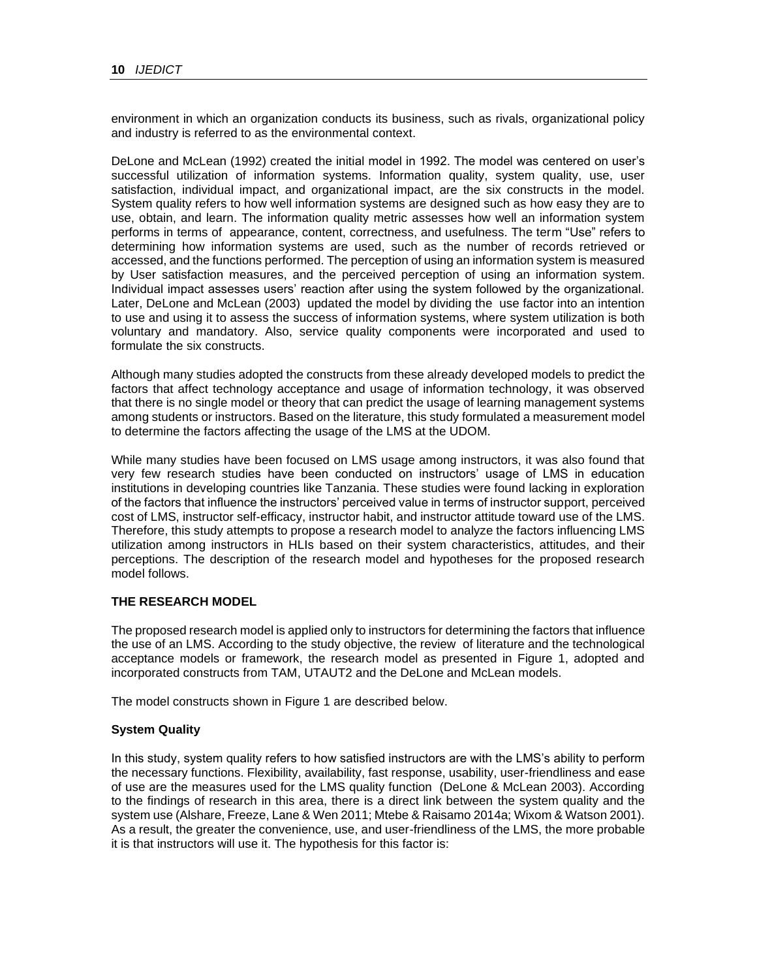environment in which an organization conducts its business, such as rivals, organizational policy and industry is referred to as the environmental context.

DeLone and McLean (1992) created the initial model in 1992. The model was centered on user's successful utilization of information systems. Information quality, system quality, use, user satisfaction, individual impact, and organizational impact, are the six constructs in the model. System quality refers to how well information systems are designed such as how easy they are to use, obtain, and learn. The information quality metric assesses how well an information system performs in terms of appearance, content, correctness, and usefulness. The term "Use" refers to determining how information systems are used, such as the number of records retrieved or accessed, and the functions performed. The perception of using an information system is measured by User satisfaction measures, and the perceived perception of using an information system. Individual impact assesses users' reaction after using the system followed by the organizational. Later, DeLone and McLean (2003) updated the model by dividing the use factor into an intention to use and using it to assess the success of information systems, where system utilization is both voluntary and mandatory. Also, service quality components were incorporated and used to formulate the six constructs.

Although many studies adopted the constructs from these already developed models to predict the factors that affect technology acceptance and usage of information technology, it was observed that there is no single model or theory that can predict the usage of learning management systems among students or instructors. Based on the literature, this study formulated a measurement model to determine the factors affecting the usage of the LMS at the UDOM.

While many studies have been focused on LMS usage among instructors, it was also found that very few research studies have been conducted on instructors' usage of LMS in education institutions in developing countries like Tanzania. These studies were found lacking in exploration of the factors that influence the instructors' perceived value in terms of instructor support, perceived cost of LMS, instructor self-efficacy, instructor habit, and instructor attitude toward use of the LMS. Therefore, this study attempts to propose a research model to analyze the factors influencing LMS utilization among instructors in HLIs based on their system characteristics, attitudes, and their perceptions. The description of the research model and hypotheses for the proposed research model follows.

# **THE RESEARCH MODEL**

The proposed research model is applied only to instructors for determining the factors that influence the use of an LMS. According to the study objective, the review of literature and the technological acceptance models or framework, the research model as presented in Figure 1, adopted and incorporated constructs from TAM, UTAUT2 and the DeLone and McLean models.

The model constructs shown in Figure 1 are described below.

# **System Quality**

In this study, system quality refers to how satisfied instructors are with the LMS's ability to perform the necessary functions. Flexibility, availability, fast response, usability, user-friendliness and ease of use are the measures used for the LMS quality function (DeLone & McLean 2003). According to the findings of research in this area, there is a direct link between the system quality and the system use (Alshare, Freeze, Lane & Wen 2011; Mtebe & Raisamo 2014a; Wixom & Watson 2001). As a result, the greater the convenience, use, and user-friendliness of the LMS, the more probable it is that instructors will use it. The hypothesis for this factor is: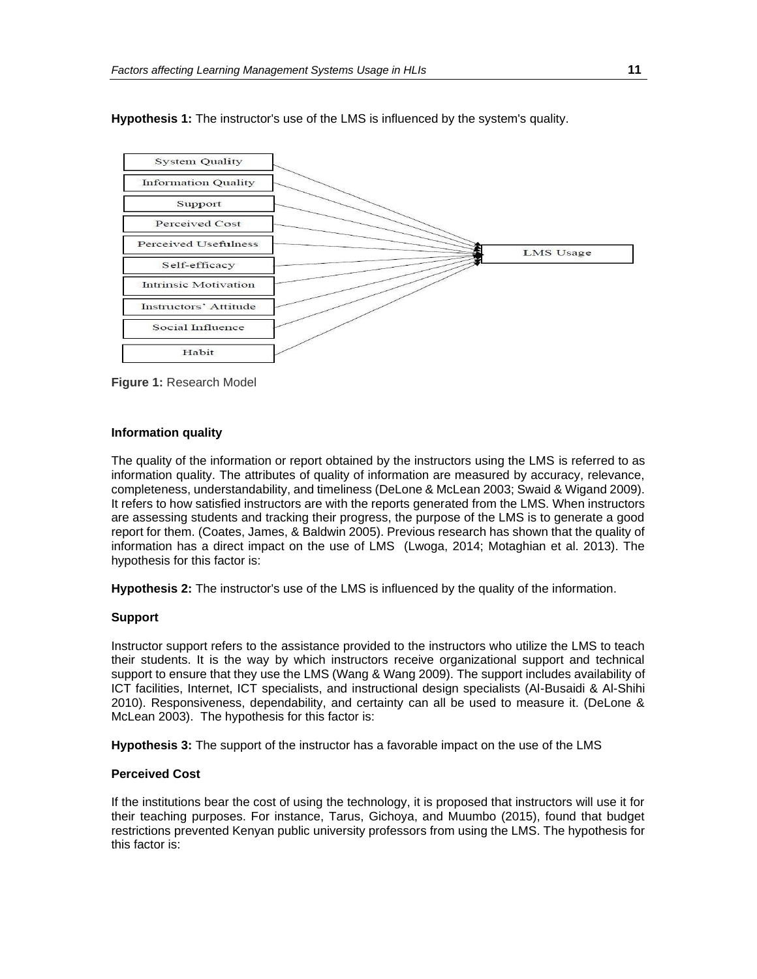

**Hypothesis 1:** The instructor's use of the LMS is influenced by the system's quality.

**Figure 1:** Research Model

#### **Information quality**

The quality of the information or report obtained by the instructors using the LMS is referred to as information quality. The attributes of quality of information are measured by accuracy, relevance, completeness, understandability, and timeliness (DeLone & McLean 2003; Swaid & Wigand 2009). It refers to how satisfied instructors are with the reports generated from the LMS. When instructors are assessing students and tracking their progress, the purpose of the LMS is to generate a good report for them. (Coates, James, & Baldwin 2005). Previous research has shown that the quality of information has a direct impact on the use of LMS (Lwoga, 2014; Motaghian et al. 2013). The hypothesis for this factor is:

**Hypothesis 2:** The instructor's use of the LMS is influenced by the quality of the information.

# **Support**

Instructor support refers to the assistance provided to the instructors who utilize the LMS to teach their students. It is the way by which instructors receive organizational support and technical support to ensure that they use the LMS (Wang & Wang 2009). The support includes availability of ICT facilities, Internet, ICT specialists, and instructional design specialists (Al-Busaidi & Al-Shihi 2010). Responsiveness, dependability, and certainty can all be used to measure it. (DeLone & McLean 2003). The hypothesis for this factor is:

**Hypothesis 3:** The support of the instructor has a favorable impact on the use of the LMS

# **Perceived Cost**

If the institutions bear the cost of using the technology, it is proposed that instructors will use it for their teaching purposes. For instance, Tarus, Gichoya, and Muumbo (2015), found that budget restrictions prevented Kenyan public university professors from using the LMS. The hypothesis for this factor is: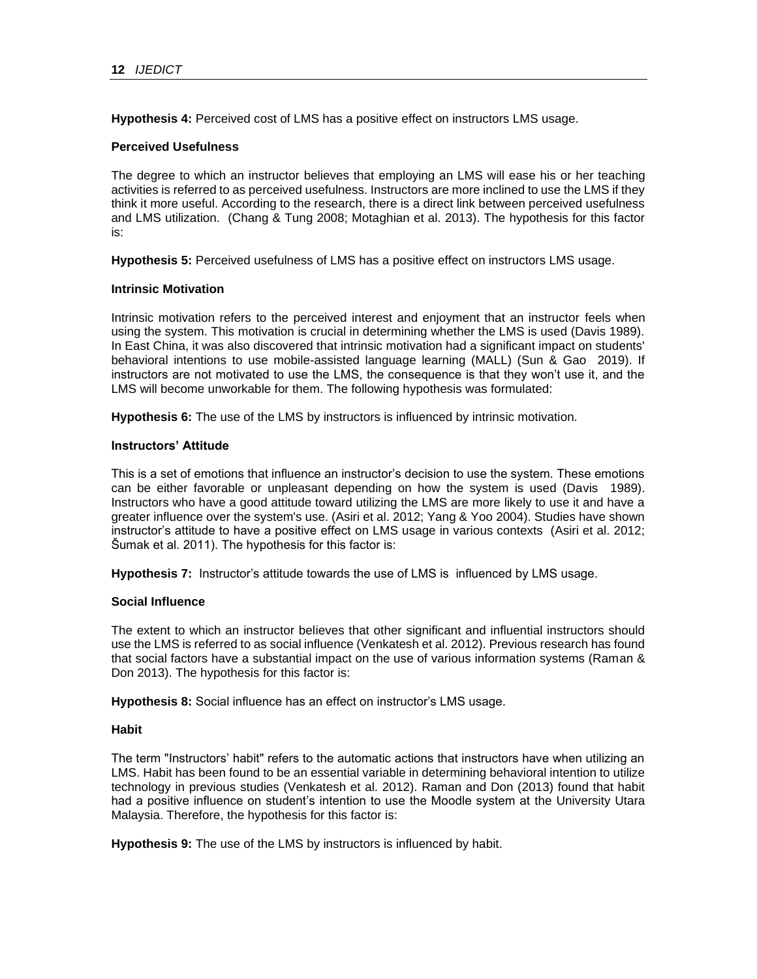**Hypothesis 4:** Perceived cost of LMS has a positive effect on instructors LMS usage.

# **Perceived Usefulness**

The degree to which an instructor believes that employing an LMS will ease his or her teaching activities is referred to as perceived usefulness. Instructors are more inclined to use the LMS if they think it more useful. According to the research, there is a direct link between perceived usefulness and LMS utilization. (Chang & Tung 2008; Motaghian et al. 2013). The hypothesis for this factor is:

**Hypothesis 5:** Perceived usefulness of LMS has a positive effect on instructors LMS usage.

#### **Intrinsic Motivation**

Intrinsic motivation refers to the perceived interest and enjoyment that an instructor feels when using the system. This motivation is crucial in determining whether the LMS is used (Davis 1989). In East China, it was also discovered that intrinsic motivation had a significant impact on students' behavioral intentions to use mobile-assisted language learning (MALL) (Sun & Gao 2019). If instructors are not motivated to use the LMS, the consequence is that they won't use it, and the LMS will become unworkable for them. The following hypothesis was formulated:

**Hypothesis 6:** The use of the LMS by instructors is influenced by intrinsic motivation.

#### **Instructors' Attitude**

This is a set of emotions that influence an instructor's decision to use the system. These emotions can be either favorable or unpleasant depending on how the system is used (Davis 1989). Instructors who have a good attitude toward utilizing the LMS are more likely to use it and have a greater influence over the system's use. (Asiri et al. 2012; Yang & Yoo 2004). Studies have shown instructor's attitude to have a positive effect on LMS usage in various contexts (Asiri et al. 2012; Šumak et al. 2011). The hypothesis for this factor is:

**Hypothesis 7:** Instructor's attitude towards the use of LMS is influenced by LMS usage.

# **Social Influence**

The extent to which an instructor believes that other significant and influential instructors should use the LMS is referred to as social influence (Venkatesh et al. 2012). Previous research has found that social factors have a substantial impact on the use of various information systems (Raman & Don 2013). The hypothesis for this factor is:

**Hypothesis 8:** Social influence has an effect on instructor's LMS usage.

# **Habit**

The term "Instructors' habit" refers to the automatic actions that instructors have when utilizing an LMS. Habit has been found to be an essential variable in determining behavioral intention to utilize technology in previous studies (Venkatesh et al. 2012). Raman and Don (2013) found that habit had a positive influence on student's intention to use the Moodle system at the University Utara Malaysia. Therefore, the hypothesis for this factor is:

**Hypothesis 9:** The use of the LMS by instructors is influenced by habit.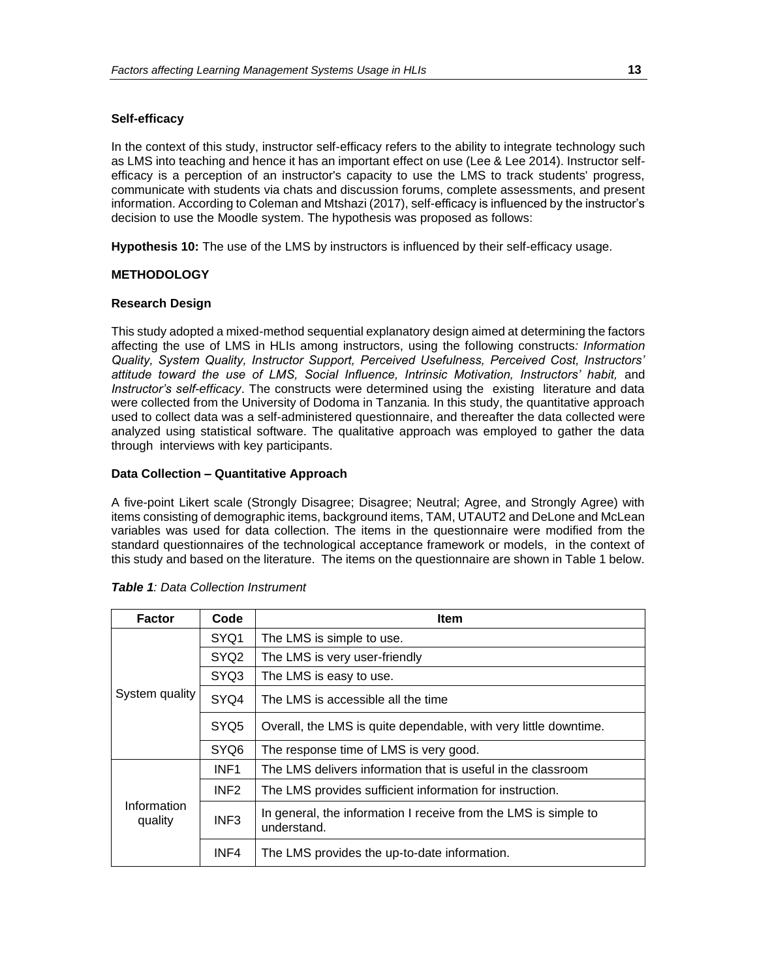#### **Self-efficacy**

In the context of this study, instructor self-efficacy refers to the ability to integrate technology such as LMS into teaching and hence it has an important effect on use (Lee & Lee 2014). Instructor selfefficacy is a perception of an instructor's capacity to use the LMS to track students' progress, communicate with students via chats and discussion forums, complete assessments, and present information. According to Coleman and Mtshazi (2017), self-efficacy is influenced by the instructor's decision to use the Moodle system. The hypothesis was proposed as follows:

**Hypothesis 10:** The use of the LMS by instructors is influenced by their self-efficacy usage.

# **METHODOLOGY**

#### **Research Design**

This study adopted a mixed-method sequential explanatory design aimed at determining the factors affecting the use of LMS in HLIs among instructors, using the following constructs*: Information Quality, System Quality, Instructor Support, Perceived Usefulness, Perceived Cost, Instructors' attitude toward the use of LMS, Social Influence, Intrinsic Motivation, Instructors' habit,* and *Instructor's self-efficacy*. The constructs were determined using the existing literature and data were collected from the University of Dodoma in Tanzania. In this study, the quantitative approach used to collect data was a self-administered questionnaire, and thereafter the data collected were analyzed using statistical software. The qualitative approach was employed to gather the data through interviews with key participants.

#### **Data Collection – Quantitative Approach**

A five-point Likert scale (Strongly Disagree; Disagree; Neutral; Agree, and Strongly Agree) with items consisting of demographic items, background items, TAM, UTAUT2 and DeLone and McLean variables was used for data collection. The items in the questionnaire were modified from the standard questionnaires of the technological acceptance framework or models, in the context of this study and based on the literature. The items on the questionnaire are shown in Table 1 below.

| <b>Factor</b>          | Code             | Item                                                                           |  |  |  |
|------------------------|------------------|--------------------------------------------------------------------------------|--|--|--|
|                        | SYQ <sub>1</sub> | The LMS is simple to use.                                                      |  |  |  |
|                        | SYQ <sub>2</sub> | The LMS is very user-friendly                                                  |  |  |  |
|                        | SYQ3             | The LMS is easy to use.                                                        |  |  |  |
| System quality         | SYQ4             | The LMS is accessible all the time                                             |  |  |  |
|                        | SYQ <sub>5</sub> | Overall, the LMS is quite dependable, with very little downtime.               |  |  |  |
|                        | SYQ6             | The response time of LMS is very good.                                         |  |  |  |
|                        | INF <sub>1</sub> | The LMS delivers information that is useful in the classroom                   |  |  |  |
| Information<br>quality | INF <sub>2</sub> | The LMS provides sufficient information for instruction.                       |  |  |  |
|                        | INF <sub>3</sub> | In general, the information I receive from the LMS is simple to<br>understand. |  |  |  |
|                        | INF4             | The LMS provides the up-to-date information.                                   |  |  |  |

| <b>Table 1: Data Collection Instrument</b> |
|--------------------------------------------|
|--------------------------------------------|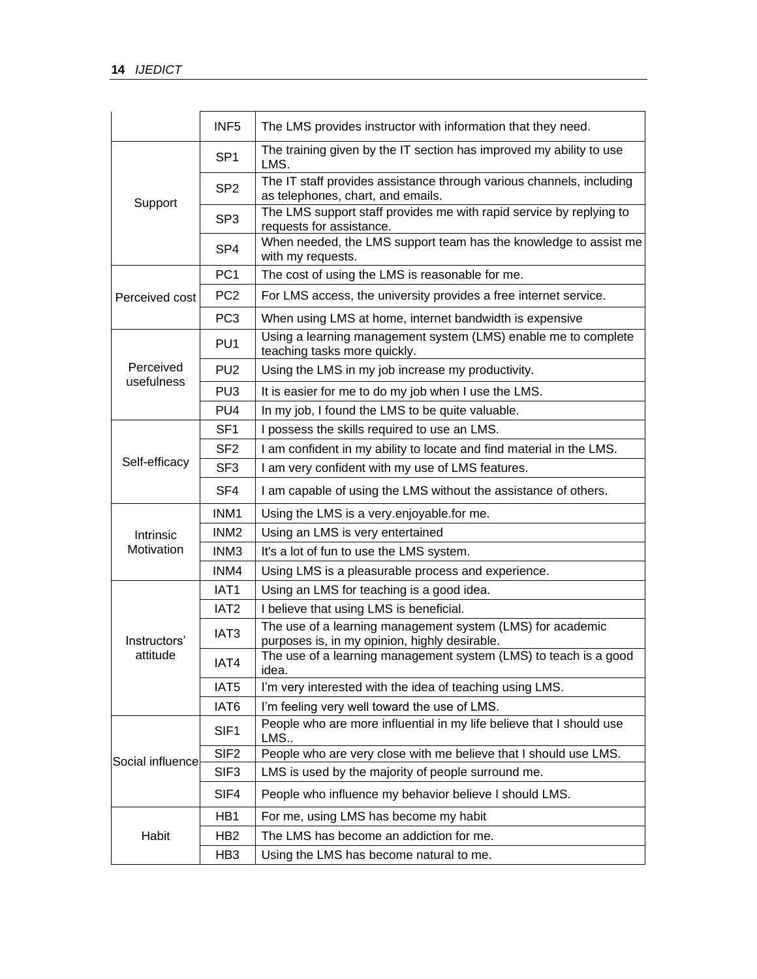|                          | INF <sub>5</sub> | The LMS provides instructor with information that they need.                                                |  |  |
|--------------------------|------------------|-------------------------------------------------------------------------------------------------------------|--|--|
|                          | SP <sub>1</sub>  | The training given by the IT section has improved my ability to use<br>LMS.                                 |  |  |
|                          | SP <sub>2</sub>  | The IT staff provides assistance through various channels, including<br>as telephones, chart, and emails.   |  |  |
| Support                  | SP <sub>3</sub>  | The LMS support staff provides me with rapid service by replying to<br>requests for assistance.             |  |  |
|                          | SP <sub>4</sub>  | When needed, the LMS support team has the knowledge to assist me<br>with my requests.                       |  |  |
|                          | PC <sub>1</sub>  | The cost of using the LMS is reasonable for me.                                                             |  |  |
| Perceived cost           | PC <sub>2</sub>  | For LMS access, the university provides a free internet service.                                            |  |  |
|                          | PC <sub>3</sub>  | When using LMS at home, internet bandwidth is expensive                                                     |  |  |
|                          | PU <sub>1</sub>  | Using a learning management system (LMS) enable me to complete<br>teaching tasks more quickly.              |  |  |
| Perceived                | PU <sub>2</sub>  | Using the LMS in my job increase my productivity.                                                           |  |  |
| usefulness               | PU <sub>3</sub>  | It is easier for me to do my job when I use the LMS.                                                        |  |  |
|                          | PU <sub>4</sub>  | In my job, I found the LMS to be quite valuable.                                                            |  |  |
|                          | SF <sub>1</sub>  | I possess the skills required to use an LMS.                                                                |  |  |
|                          | SF <sub>2</sub>  | I am confident in my ability to locate and find material in the LMS.                                        |  |  |
| Self-efficacy            | SF <sub>3</sub>  | I am very confident with my use of LMS features.                                                            |  |  |
|                          | SF4              | I am capable of using the LMS without the assistance of others.                                             |  |  |
|                          | INM <sub>1</sub> | Using the LMS is a very enjoyable for me.                                                                   |  |  |
| Intrinsic                | INM <sub>2</sub> | Using an LMS is very entertained                                                                            |  |  |
| Motivation               | INM <sub>3</sub> | It's a lot of fun to use the LMS system.                                                                    |  |  |
|                          | INM4             | Using LMS is a pleasurable process and experience.                                                          |  |  |
|                          | IAT <sub>1</sub> | Using an LMS for teaching is a good idea.                                                                   |  |  |
|                          | IAT <sub>2</sub> | I believe that using LMS is beneficial.                                                                     |  |  |
| Instructors'<br>attitude | IAT <sub>3</sub> | The use of a learning management system (LMS) for academic<br>purposes is, in my opinion, highly desirable. |  |  |
|                          | IAT4             | The use of a learning management system (LMS) to teach is a good<br>idea.                                   |  |  |
|                          | IAT <sub>5</sub> | I'm very interested with the idea of teaching using LMS.                                                    |  |  |
|                          | IAT6             | I'm feeling very well toward the use of LMS.                                                                |  |  |
|                          | SIF <sub>1</sub> | People who are more influential in my life believe that I should use<br>LMS                                 |  |  |
| Social influence         | SIF <sub>2</sub> | People who are very close with me believe that I should use LMS.                                            |  |  |
|                          | SIF <sub>3</sub> | LMS is used by the majority of people surround me.                                                          |  |  |
|                          | SIF4             | People who influence my behavior believe I should LMS.                                                      |  |  |
|                          | HB1              | For me, using LMS has become my habit                                                                       |  |  |
| Habit                    | HB <sub>2</sub>  | The LMS has become an addiction for me.                                                                     |  |  |
|                          | HB <sub>3</sub>  | Using the LMS has become natural to me.                                                                     |  |  |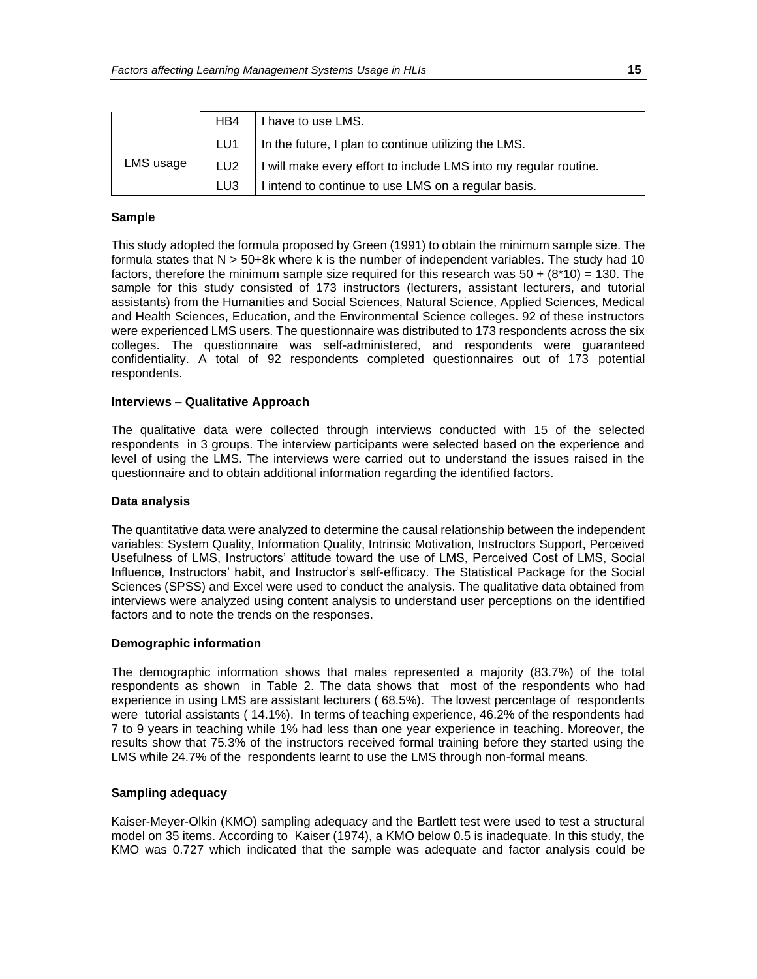|           | HB4             | I have to use LMS.                                               |  |
|-----------|-----------------|------------------------------------------------------------------|--|
|           | LU <sub>1</sub> | In the future, I plan to continue utilizing the LMS.             |  |
| LMS usage | LU <sub>2</sub> | I will make every effort to include LMS into my regular routine. |  |
|           | LU3             | I intend to continue to use LMS on a regular basis.              |  |

#### **Sample**

This study adopted the formula proposed by Green (1991) to obtain the minimum sample size. The formula states that N > 50+8k where k is the number of independent variables. The study had 10 factors, therefore the minimum sample size required for this research was  $50 + (8*10) = 130$ . The sample for this study consisted of 173 instructors (lecturers, assistant lecturers, and tutorial assistants) from the Humanities and Social Sciences, Natural Science, Applied Sciences, Medical and Health Sciences, Education, and the Environmental Science colleges. 92 of these instructors were experienced LMS users. The questionnaire was distributed to 173 respondents across the six colleges. The questionnaire was self-administered, and respondents were guaranteed confidentiality. A total of 92 respondents completed questionnaires out of 173 potential respondents.

#### **Interviews – Qualitative Approach**

The qualitative data were collected through interviews conducted with 15 of the selected respondents in 3 groups. The interview participants were selected based on the experience and level of using the LMS. The interviews were carried out to understand the issues raised in the questionnaire and to obtain additional information regarding the identified factors.

# **Data analysis**

The quantitative data were analyzed to determine the causal relationship between the independent variables: System Quality, Information Quality, Intrinsic Motivation, Instructors Support, Perceived Usefulness of LMS, Instructors' attitude toward the use of LMS, Perceived Cost of LMS, Social Influence, Instructors' habit, and Instructor's self-efficacy. The Statistical Package for the Social Sciences (SPSS) and Excel were used to conduct the analysis. The qualitative data obtained from interviews were analyzed using content analysis to understand user perceptions on the identified factors and to note the trends on the responses.

#### **Demographic information**

The demographic information shows that males represented a majority (83.7%) of the total respondents as shown in Table 2. The data shows that most of the respondents who had experience in using LMS are assistant lecturers ( 68.5%). The lowest percentage of respondents were tutorial assistants ( 14.1%). In terms of teaching experience, 46.2% of the respondents had 7 to 9 years in teaching while 1% had less than one year experience in teaching. Moreover, the results show that 75.3% of the instructors received formal training before they started using the LMS while 24.7% of the respondents learnt to use the LMS through non-formal means.

#### **Sampling adequacy**

Kaiser-Meyer-Olkin (KMO) sampling adequacy and the Bartlett test were used to test a structural model on 35 items. According to Kaiser (1974), a KMO below 0.5 is inadequate. In this study, the KMO was 0.727 which indicated that the sample was adequate and factor analysis could be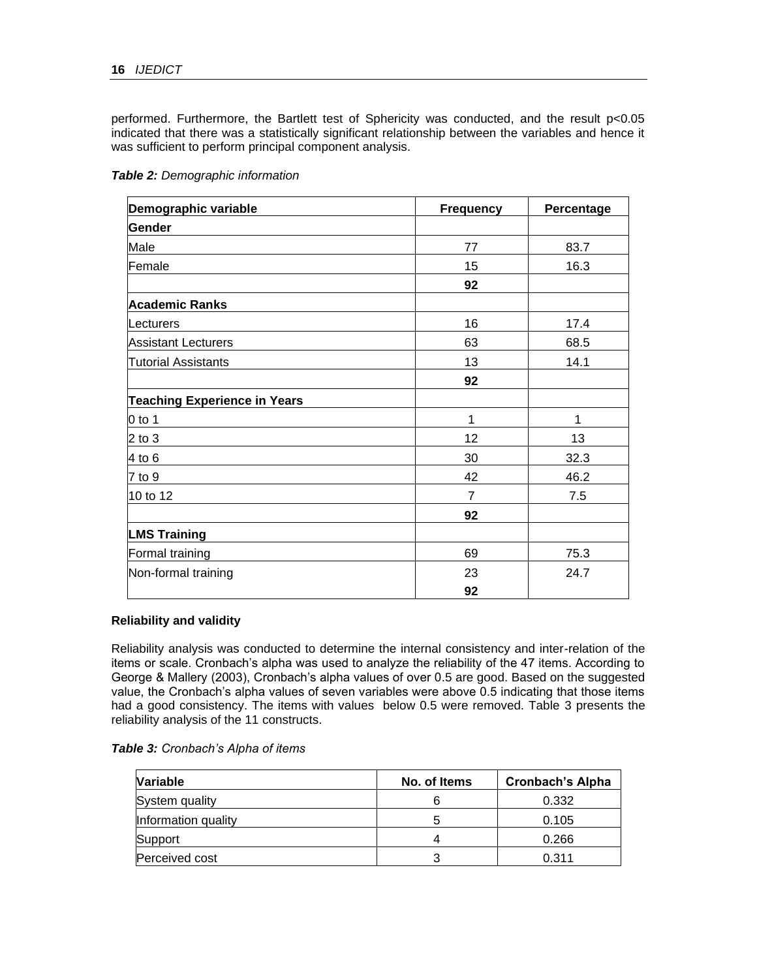performed. Furthermore, the Bartlett test of Sphericity was conducted, and the result p<0.05 indicated that there was a statistically significant relationship between the variables and hence it was sufficient to perform principal component analysis.

|  |  | Table 2: Demographic information |
|--|--|----------------------------------|
|  |  |                                  |

| Demographic variable                | <b>Frequency</b> | Percentage |  |
|-------------------------------------|------------------|------------|--|
| Gender                              |                  |            |  |
| Male                                | 77               | 83.7       |  |
| Female                              | 15               | 16.3       |  |
|                                     | 92               |            |  |
| <b>Academic Ranks</b>               |                  |            |  |
| Lecturers                           | 16               | 17.4       |  |
| <b>Assistant Lecturers</b>          | 63               | 68.5       |  |
| <b>Tutorial Assistants</b>          | 13               | 14.1       |  |
|                                     | 92               |            |  |
| <b>Teaching Experience in Years</b> |                  |            |  |
| $0$ to 1                            | 1                | 1          |  |
| $2$ to $3$                          | 12               | 13         |  |
| $4$ to 6                            | 30               | 32.3       |  |
| 7 to 9                              | 42               | 46.2       |  |
| 10 to 12                            | $\overline{7}$   | 7.5        |  |
|                                     | 92               |            |  |
| <b>LMS Training</b>                 |                  |            |  |
| Formal training                     | 69               | 75.3       |  |
| Non-formal training                 | 23               | 24.7       |  |
|                                     | 92               |            |  |

# **Reliability and validity**

Reliability analysis was conducted to determine the internal consistency and inter-relation of the items or scale. Cronbach's alpha was used to analyze the reliability of the 47 items. According to George & Mallery (2003), Cronbach's alpha values of over 0.5 are good. Based on the suggested value, the Cronbach's alpha values of seven variables were above 0.5 indicating that those items had a good consistency. The items with values below 0.5 were removed. Table 3 presents the reliability analysis of the 11 constructs.

|  | Table 3: Cronbach's Alpha of items |  |
|--|------------------------------------|--|
|--|------------------------------------|--|

| <b>Variable</b>     | No. of Items | <b>Cronbach's Alpha</b> |
|---------------------|--------------|-------------------------|
| System quality      |              | 0.332                   |
| Information quality |              | 0.105                   |
| Support             |              | 0.266                   |
| Perceived cost      | ົ            | 0.311                   |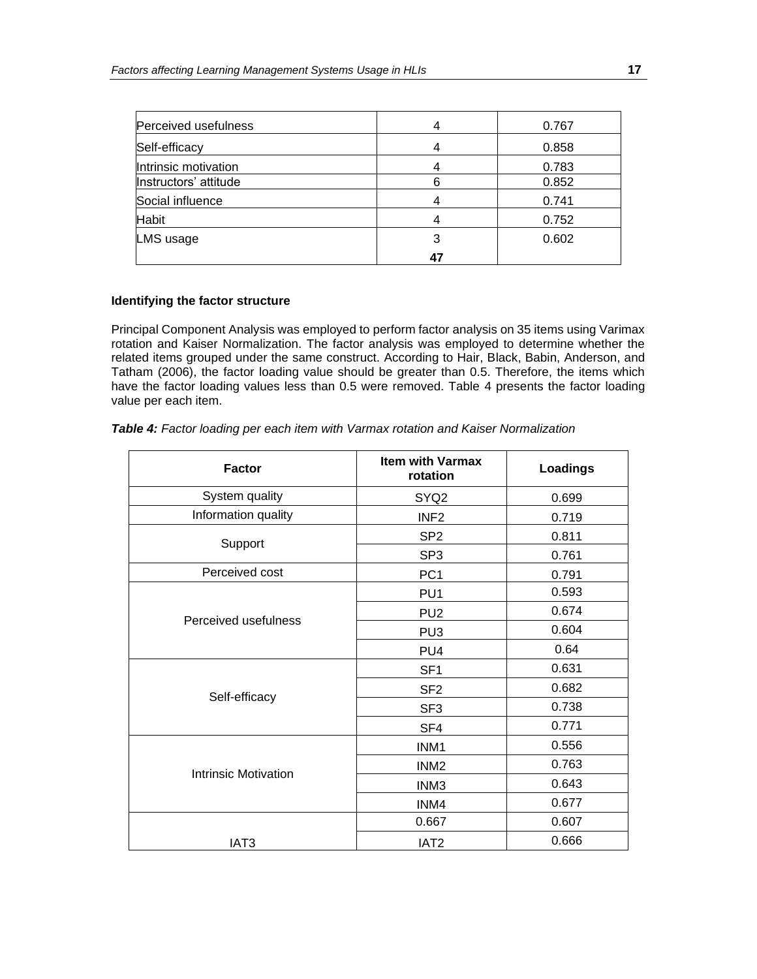| Perceived usefulness  |    | 0.767 |
|-----------------------|----|-------|
| Self-efficacy         |    | 0.858 |
| Intrinsic motivation  |    | 0.783 |
| Instructors' attitude | 6  | 0.852 |
| Social influence      |    | 0.741 |
| <b>Habit</b>          |    | 0.752 |
| LMS usage             | 3  | 0.602 |
|                       | 47 |       |

#### **Identifying the factor structure**

Principal Component Analysis was employed to perform factor analysis on 35 items using Varimax rotation and Kaiser Normalization. The factor analysis was employed to determine whether the related items grouped under the same construct. According to Hair, Black, Babin, Anderson, and Tatham (2006), the factor loading value should be greater than 0.5. Therefore, the items which have the factor loading values less than 0.5 were removed. Table 4 presents the factor loading value per each item.

| <b>Factor</b>               | <b>Item with Varmax</b><br>rotation | <b>Loadings</b> |
|-----------------------------|-------------------------------------|-----------------|
| System quality              | SYQ <sub>2</sub>                    | 0.699           |
| Information quality         | INF <sub>2</sub>                    | 0.719           |
| Support                     | SP <sub>2</sub>                     | 0.811           |
|                             | SP <sub>3</sub>                     | 0.761           |
| Perceived cost              | PC <sub>1</sub>                     | 0.791           |
|                             | PU <sub>1</sub>                     | 0.593           |
| Perceived usefulness        | PU <sub>2</sub>                     | 0.674           |
|                             | PU <sub>3</sub>                     | 0.604           |
|                             | PU <sub>4</sub>                     | 0.64            |
|                             | SF <sub>1</sub>                     | 0.631           |
|                             | SF <sub>2</sub>                     | 0.682           |
| Self-efficacy               | SF <sub>3</sub>                     | 0.738           |
|                             | SF4                                 | 0.771           |
|                             | INM1                                | 0.556           |
|                             | INM <sub>2</sub>                    | 0.763           |
| <b>Intrinsic Motivation</b> | INM <sub>3</sub>                    | 0.643           |
|                             | INM4                                | 0.677           |
|                             | 0.667                               | 0.607           |
| IAT <sub>3</sub>            | IAT <sub>2</sub>                    | 0.666           |

*Table 4: Factor loading per each item with Varmax rotation and Kaiser Normalization*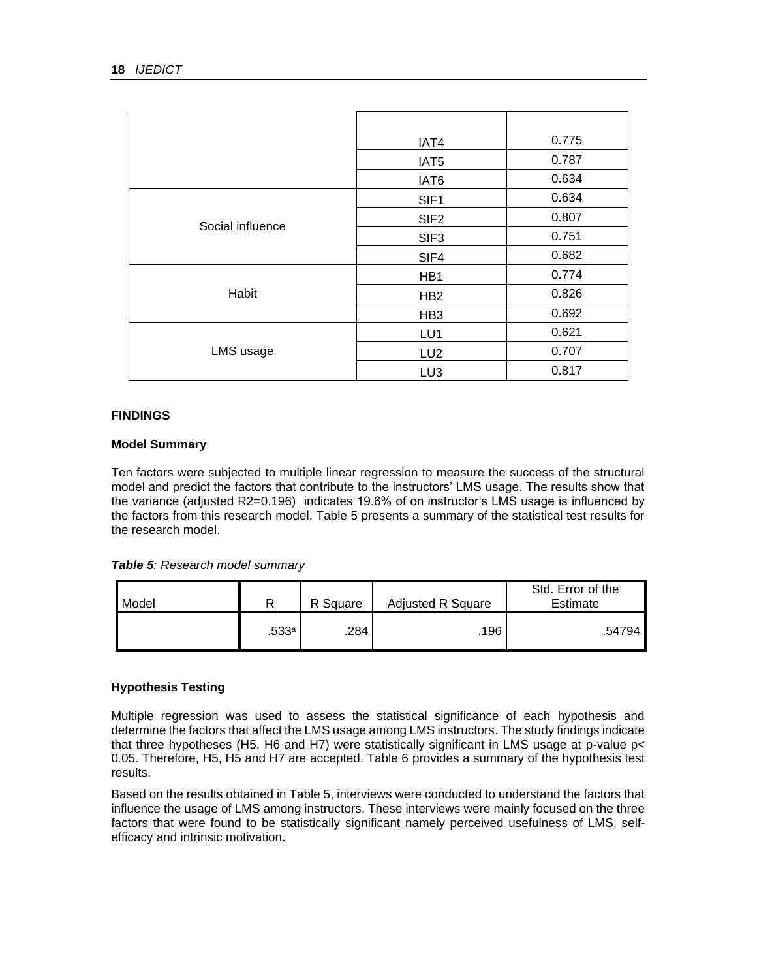|                  | IAT4             | 0.775 |
|------------------|------------------|-------|
|                  | IAT5             | 0.787 |
|                  | IAT6             | 0.634 |
|                  | SIF <sub>1</sub> | 0.634 |
| Social influence | SIF <sub>2</sub> | 0.807 |
|                  | SIF <sub>3</sub> | 0.751 |
|                  | SIF4             | 0.682 |
|                  | HB1              | 0.774 |
| Habit            | HB <sub>2</sub>  | 0.826 |
|                  | HB <sub>3</sub>  | 0.692 |
|                  | LU1              | 0.621 |
| LMS usage        | LU <sub>2</sub>  | 0.707 |
|                  | LU <sub>3</sub>  | 0.817 |

# **FINDINGS**

# **Model Summary**

Ten factors were subjected to multiple linear regression to measure the success of the structural model and predict the factors that contribute to the instructors' LMS usage. The results show that the variance (adjusted R2=0.196) indicates 19.6% of on instructor's LMS usage is influenced by the factors from this research model. Table 5 presents a summary of the statistical test results for the research model.

# *Table 5: Research model summary*

| Model |       | R Square | <b>Adjusted R Square</b> | Std. Error of the<br>Estimate |
|-------|-------|----------|--------------------------|-------------------------------|
|       | .533a | .284     | .196                     | .54794                        |

# **Hypothesis Testing**

Multiple regression was used to assess the statistical significance of each hypothesis and determine the factors that affect the LMS usage among LMS instructors. The study findings indicate that three hypotheses (H5, H6 and H7) were statistically significant in LMS usage at p-value p< 0.05. Therefore, H5, H5 and H7 are accepted. Table 6 provides a summary of the hypothesis test results.

Based on the results obtained in Table 5, interviews were conducted to understand the factors that influence the usage of LMS among instructors. These interviews were mainly focused on the three factors that were found to be statistically significant namely perceived usefulness of LMS, selfefficacy and intrinsic motivation.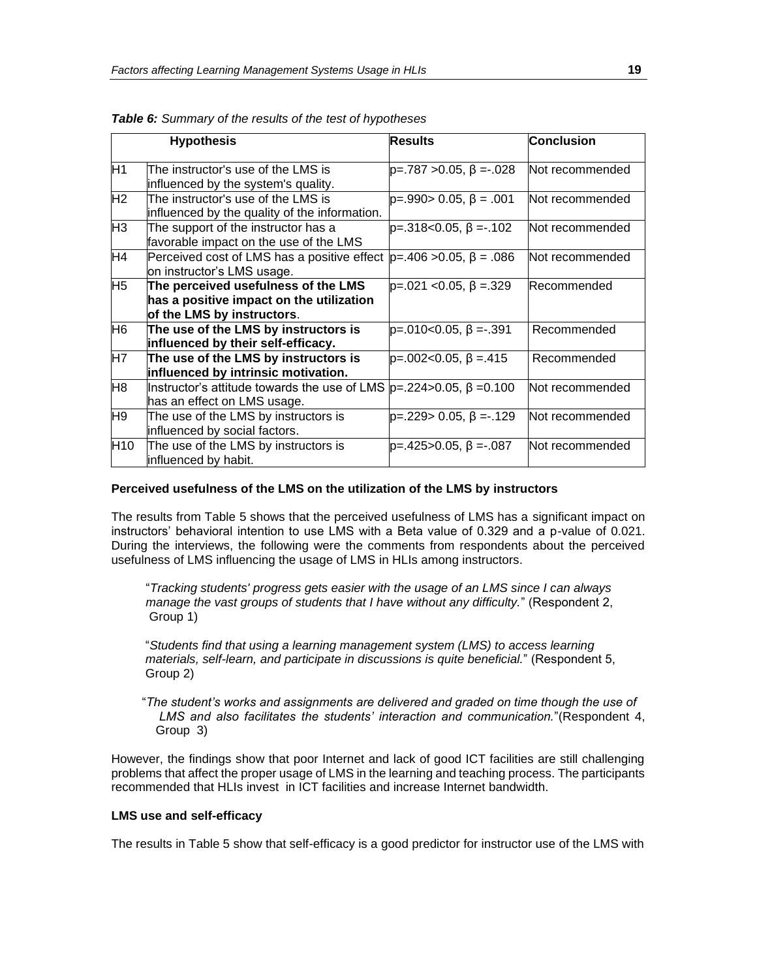|                 | <b>Hypothesis</b>                                                                                             | <b>Results</b>                | Conclusion         |
|-----------------|---------------------------------------------------------------------------------------------------------------|-------------------------------|--------------------|
| H <sub>1</sub>  | The instructor's use of the LMS is<br>influenced by the system's quality.                                     | $p=.787 > 0.05, \beta = .028$ | Not recommended    |
| H <sub>2</sub>  | The instructor's use of the LMS is<br>influenced by the quality of the information.                           | $p=.990>0.05, \beta=.001$     | Not recommended    |
| H <sub>3</sub>  | The support of the instructor has a<br>favorable impact on the use of the LMS                                 | $p=.318<0.05, \beta=.102$     | Not recommended    |
| H4              | Perceived cost of LMS has a positive effect<br>on instructor's LMS usage.                                     | $p=.406 > 0.05, \beta = .086$ | lNot recommended   |
| H <sub>5</sub>  | The perceived usefulness of the LMS<br>has a positive impact on the utilization<br>of the LMS by instructors. | $p=.021$ < 0.05, $\beta=.329$ | <b>Recommended</b> |
| H <sub>6</sub>  | The use of the LMS by instructors is<br>influenced by their self-efficacy.                                    | $p=.010<0.05, \beta=.391$     | Recommended        |
| H7              | The use of the LMS by instructors is<br>influenced by intrinsic motivation.                                   | $p=.002<0.05, \beta=.415$     | Recommended        |
| H <sub>8</sub>  | llnstructor's attitude towards the use of LMS<br>has an effect on LMS usage.                                  | $p=.224>0.05, \beta = 0.100$  | Not recommended    |
| H <sub>9</sub>  | The use of the LMS by instructors is<br>influenced by social factors.                                         | $p=.229>0.05, \beta=.129$     | Not recommended    |
| H <sub>10</sub> | The use of the LMS by instructors is<br>influenced by habit.                                                  | $p=.425>0.05, \beta=.087$     | Not recommended    |

*Table 6: Summary of the results of the test of hypotheses* 

#### **Perceived usefulness of the LMS on the utilization of the LMS by instructors**

The results from Table 5 shows that the perceived usefulness of LMS has a significant impact on instructors' behavioral intention to use LMS with a Beta value of 0.329 and a p-value of 0.021. During the interviews, the following were the comments from respondents about the perceived usefulness of LMS influencing the usage of LMS in HLIs among instructors.

 "*Tracking students' progress gets easier with the usage of an LMS since I can always manage the vast groups of students that I have without any difficulty.*" (Respondent 2, Group 1)

 "*Students find that using a learning management system (LMS) to access learning materials, self-learn, and participate in discussions is quite beneficial.*" (Respondent 5, Group 2)

 "*The student's works and assignments are delivered and graded on time though the use of LMS and also facilitates the students' interaction and communication.*"(Respondent 4, Group 3)

However, the findings show that poor Internet and lack of good ICT facilities are still challenging problems that affect the proper usage of LMS in the learning and teaching process. The participants recommended that HLIs invest in ICT facilities and increase Internet bandwidth.

#### **LMS use and self-efficacy**

The results in Table 5 show that self-efficacy is a good predictor for instructor use of the LMS with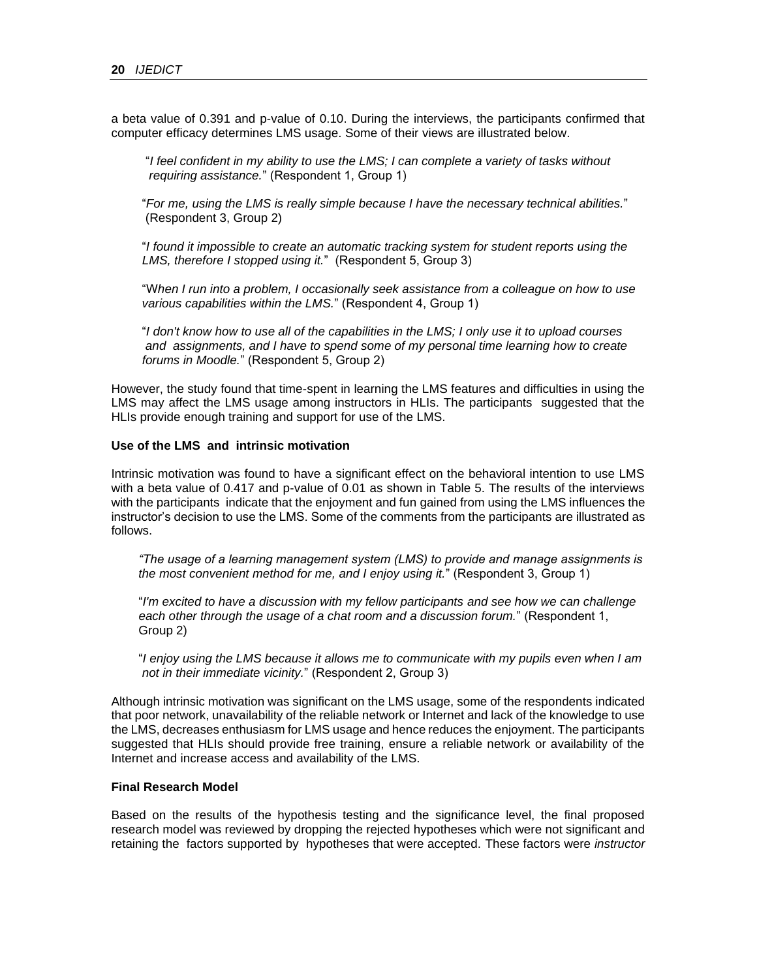a beta value of 0.391 and p-value of 0.10. During the interviews, the participants confirmed that computer efficacy determines LMS usage. Some of their views are illustrated below.

 "*I feel confident in my ability to use the LMS; I can complete a variety of tasks without requiring assistance.*" (Respondent 1, Group 1)

 "*For me, using the LMS is really simple because I have the necessary technical abilities.*" (Respondent 3, Group 2)

 "*I found it impossible to create an automatic tracking system for student reports using the LMS, therefore I stopped using it.*" (Respondent 5, Group 3)

 "W*hen I run into a problem, I occasionally seek assistance from a colleague on how to use various capabilities within the LMS.*" (Respondent 4, Group 1)

 "*I don't know how to use all of the capabilities in the LMS; I only use it to upload courses and assignments, and I have to spend some of my personal time learning how to create forums in Moodle.*" (Respondent 5, Group 2)

However, the study found that time-spent in learning the LMS features and difficulties in using the LMS may affect the LMS usage among instructors in HLIs. The participants suggested that the HLIs provide enough training and support for use of the LMS.

#### **Use of the LMS and intrinsic motivation**

Intrinsic motivation was found to have a significant effect on the behavioral intention to use LMS with a beta value of 0.417 and p-value of 0.01 as shown in Table 5. The results of the interviews with the participants indicate that the enjoyment and fun gained from using the LMS influences the instructor's decision to use the LMS. Some of the comments from the participants are illustrated as follows.

 *"The usage of a learning management system (LMS) to provide and manage assignments is the most convenient method for me, and I enjoy using it.*" (Respondent 3, Group 1)

 "*I'm excited to have a discussion with my fellow participants and see how we can challenge each other through the usage of a chat room and a discussion forum.*" (Respondent 1, Group 2)

 "*I enjoy using the LMS because it allows me to communicate with my pupils even when I am not in their immediate vicinity.*" (Respondent 2, Group 3)

Although intrinsic motivation was significant on the LMS usage, some of the respondents indicated that poor network, unavailability of the reliable network or Internet and lack of the knowledge to use the LMS, decreases enthusiasm for LMS usage and hence reduces the enjoyment. The participants suggested that HLIs should provide free training, ensure a reliable network or availability of the Internet and increase access and availability of the LMS.

#### **Final Research Model**

Based on the results of the hypothesis testing and the significance level, the final proposed research model was reviewed by dropping the rejected hypotheses which were not significant and retaining the factors supported by hypotheses that were accepted. These factors were *instructor*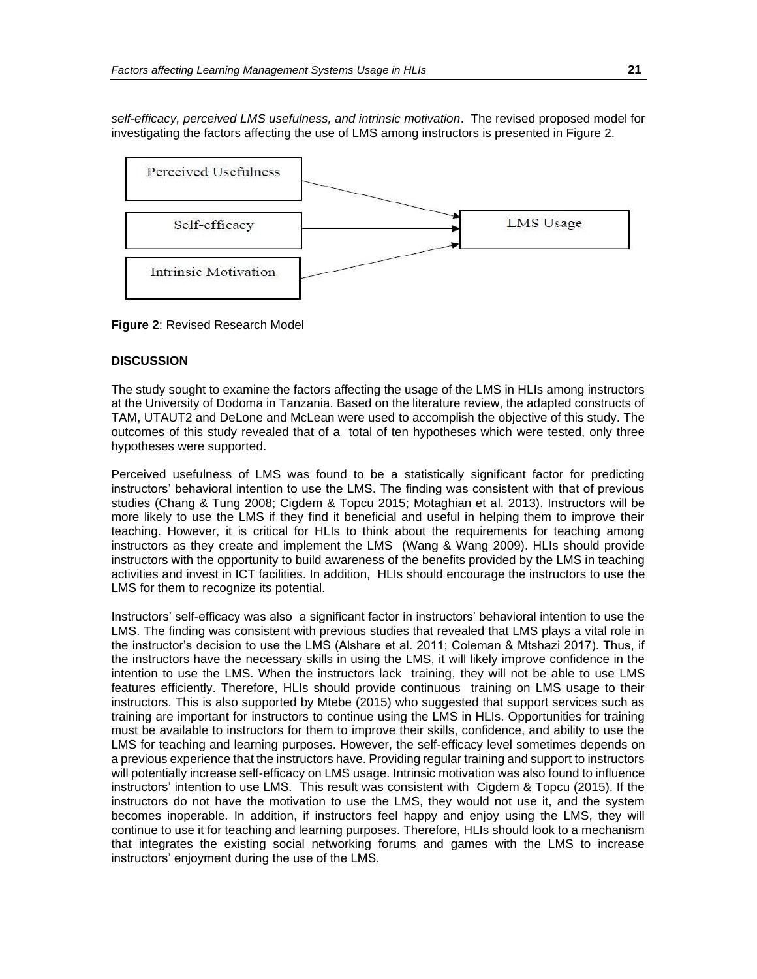*self-efficacy, perceived LMS usefulness, and intrinsic motivation*. The revised proposed model for investigating the factors affecting the use of LMS among instructors is presented in Figure 2.



**Figure 2**: Revised Research Model

# **DISCUSSION**

The study sought to examine the factors affecting the usage of the LMS in HLIs among instructors at the University of Dodoma in Tanzania. Based on the literature review, the adapted constructs of TAM, UTAUT2 and DeLone and McLean were used to accomplish the objective of this study. The outcomes of this study revealed that of a total of ten hypotheses which were tested, only three hypotheses were supported.

Perceived usefulness of LMS was found to be a statistically significant factor for predicting instructors' behavioral intention to use the LMS. The finding was consistent with that of previous studies (Chang & Tung 2008; Cigdem & Topcu 2015; Motaghian et al. 2013). Instructors will be more likely to use the LMS if they find it beneficial and useful in helping them to improve their teaching. However, it is critical for HLIs to think about the requirements for teaching among instructors as they create and implement the LMS (Wang & Wang 2009). HLIs should provide instructors with the opportunity to build awareness of the benefits provided by the LMS in teaching activities and invest in ICT facilities. In addition, HLIs should encourage the instructors to use the LMS for them to recognize its potential.

Instructors' self-efficacy was also a significant factor in instructors' behavioral intention to use the LMS. The finding was consistent with previous studies that revealed that LMS plays a vital role in the instructor's decision to use the LMS (Alshare et al. 2011; Coleman & Mtshazi 2017). Thus, if the instructors have the necessary skills in using the LMS, it will likely improve confidence in the intention to use the LMS. When the instructors lack training, they will not be able to use LMS features efficiently. Therefore, HLIs should provide continuous training on LMS usage to their instructors. This is also supported by Mtebe (2015) who suggested that support services such as training are important for instructors to continue using the LMS in HLIs. Opportunities for training must be available to instructors for them to improve their skills, confidence, and ability to use the LMS for teaching and learning purposes. However, the self-efficacy level sometimes depends on a previous experience that the instructors have. Providing regular training and support to instructors will potentially increase self-efficacy on LMS usage. Intrinsic motivation was also found to influence instructors' intention to use LMS. This result was consistent with Cigdem & Topcu (2015). If the instructors do not have the motivation to use the LMS, they would not use it, and the system becomes inoperable. In addition, if instructors feel happy and enjoy using the LMS, they will continue to use it for teaching and learning purposes. Therefore, HLIs should look to a mechanism that integrates the existing social networking forums and games with the LMS to increase instructors' enjoyment during the use of the LMS.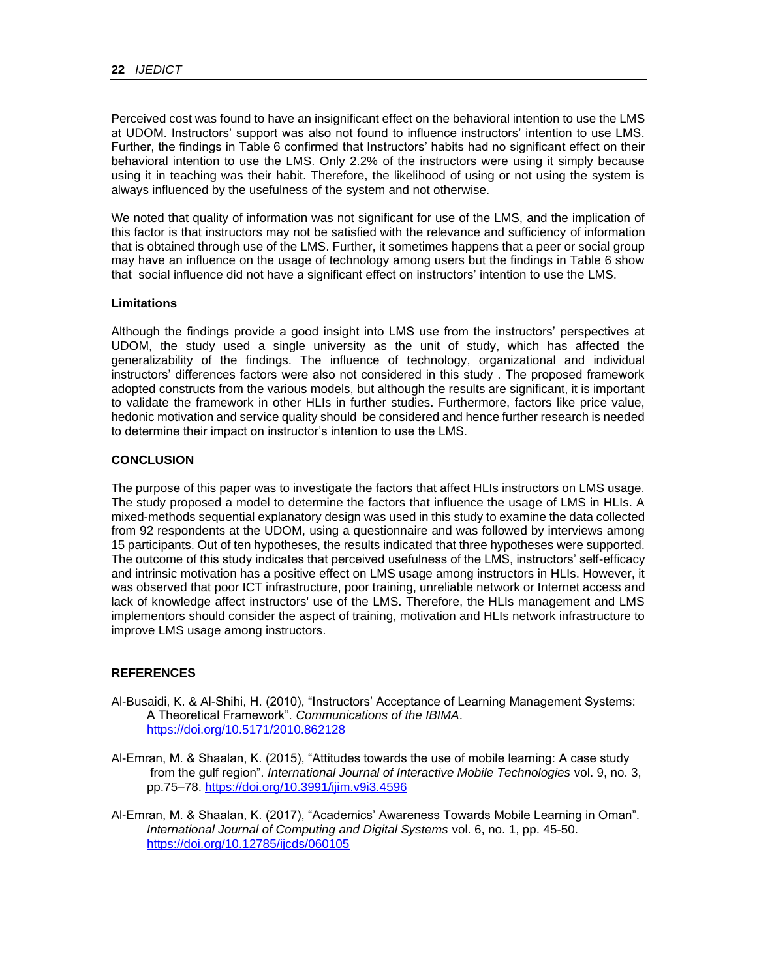Perceived cost was found to have an insignificant effect on the behavioral intention to use the LMS at UDOM. Instructors' support was also not found to influence instructors' intention to use LMS. Further, the findings in Table 6 confirmed that Instructors' habits had no significant effect on their behavioral intention to use the LMS. Only 2.2% of the instructors were using it simply because using it in teaching was their habit. Therefore, the likelihood of using or not using the system is always influenced by the usefulness of the system and not otherwise.

We noted that quality of information was not significant for use of the LMS, and the implication of this factor is that instructors may not be satisfied with the relevance and sufficiency of information that is obtained through use of the LMS. Further, it sometimes happens that a peer or social group may have an influence on the usage of technology among users but the findings in Table 6 show that social influence did not have a significant effect on instructors' intention to use the LMS.

# **Limitations**

Although the findings provide a good insight into LMS use from the instructors' perspectives at UDOM, the study used a single university as the unit of study, which has affected the generalizability of the findings. The influence of technology, organizational and individual instructors' differences factors were also not considered in this study . The proposed framework adopted constructs from the various models, but although the results are significant, it is important to validate the framework in other HLIs in further studies. Furthermore, factors like price value, hedonic motivation and service quality should be considered and hence further research is needed to determine their impact on instructor's intention to use the LMS.

#### **CONCLUSION**

The purpose of this paper was to investigate the factors that affect HLIs instructors on LMS usage. The study proposed a model to determine the factors that influence the usage of LMS in HLIs. A mixed-methods sequential explanatory design was used in this study to examine the data collected from 92 respondents at the UDOM, using a questionnaire and was followed by interviews among 15 participants. Out of ten hypotheses, the results indicated that three hypotheses were supported. The outcome of this study indicates that perceived usefulness of the LMS, instructors' self-efficacy and intrinsic motivation has a positive effect on LMS usage among instructors in HLIs. However, it was observed that poor ICT infrastructure, poor training, unreliable network or Internet access and lack of knowledge affect instructors' use of the LMS. Therefore, the HLIs management and LMS implementors should consider the aspect of training, motivation and HLIs network infrastructure to improve LMS usage among instructors.

# **REFERENCES**

- Al-Busaidi, K. & Al-Shihi, H. (2010), "Instructors' Acceptance of Learning Management Systems: A Theoretical Framework". *Communications of the IBIMA*. <https://doi.org/10.5171/2010.862128>
- Al-Emran, M. & Shaalan, K. (2015), "Attitudes towards the use of mobile learning: A case study from the gulf region". *International Journal of Interactive Mobile Technologies* vol. 9, no. 3, pp.75–78.<https://doi.org/10.3991/ijim.v9i3.4596>
- Al-Emran, M. & Shaalan, K. (2017), "Academics' Awareness Towards Mobile Learning in Oman". *International Journal of Computing and Digital Systems* vol. 6, no. 1, pp. 45-50. <https://doi.org/10.12785/ijcds/060105>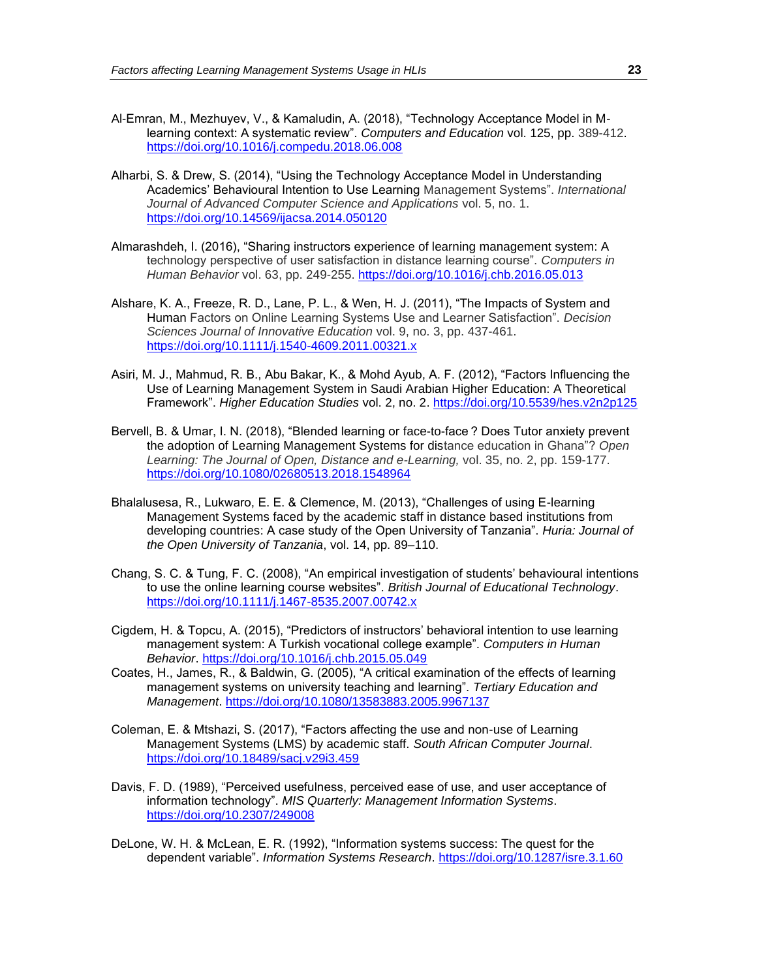- Al-Emran, M., Mezhuyev, V., & Kamaludin, A. (2018), "Technology Acceptance Model in Mlearning context: A systematic review". *Computers and Education* vol. 125, pp. 389-412. <https://doi.org/10.1016/j.compedu.2018.06.008>
- Alharbi, S. & Drew, S. (2014), "Using the Technology Acceptance Model in Understanding Academics' Behavioural Intention to Use Learning Management Systems". *International Journal of Advanced Computer Science and Applications* vol. 5, no. 1. <https://doi.org/10.14569/ijacsa.2014.050120>
- Almarashdeh, I. (2016), "Sharing instructors experience of learning management system: A technology perspective of user satisfaction in distance learning course". *Computers in Human Behavior* vol. 63, pp. 249-255.<https://doi.org/10.1016/j.chb.2016.05.013>
- Alshare, K. A., Freeze, R. D., Lane, P. L., & Wen, H. J. (2011), "The Impacts of System and Human Factors on Online Learning Systems Use and Learner Satisfaction". *Decision Sciences Journal of Innovative Education* vol. 9, no. 3, pp. 437-461. <https://doi.org/10.1111/j.1540-4609.2011.00321.x>
- Asiri, M. J., Mahmud, R. B., Abu Bakar, K., & Mohd Ayub, A. F. (2012), "Factors Influencing the Use of Learning Management System in Saudi Arabian Higher Education: A Theoretical Framework". *Higher Education Studies* vol. 2, no. 2.<https://doi.org/10.5539/hes.v2n2p125>
- Bervell, B. & Umar, I. N. (2018), "Blended learning or face-to-face ? Does Tutor anxiety prevent the adoption of Learning Management Systems for distance education in Ghana"? *Open Learning: The Journal of Open, Distance and e-Learning,* vol. 35, no. 2, pp. 159-177. <https://doi.org/10.1080/02680513.2018.1548964>
- Bhalalusesa, R., Lukwaro, E. E. & Clemence, M. (2013), "Challenges of using E-learning Management Systems faced by the academic staff in distance based institutions from developing countries: A case study of the Open University of Tanzania". *Huria: Journal of the Open University of Tanzania*, vol. 14, pp. 89–110.
- Chang, S. C. & Tung, F. C. (2008), "An empirical investigation of students' behavioural intentions to use the online learning course websites". *British Journal of Educational Technology*. <https://doi.org/10.1111/j.1467-8535.2007.00742.x>
- Cigdem, H. & Topcu, A. (2015), "Predictors of instructors' behavioral intention to use learning management system: A Turkish vocational college example". *Computers in Human Behavior*.<https://doi.org/10.1016/j.chb.2015.05.049>
- Coates, H., James, R., & Baldwin, G. (2005), "A critical examination of the effects of learning management systems on university teaching and learning". *Tertiary Education and Management*.<https://doi.org/10.1080/13583883.2005.9967137>
- Coleman, E. & Mtshazi, S. (2017), "Factors affecting the use and non-use of Learning Management Systems (LMS) by academic staff. *South African Computer Journal*. <https://doi.org/10.18489/sacj.v29i3.459>
- Davis, F. D. (1989), "Perceived usefulness, perceived ease of use, and user acceptance of information technology". *MIS Quarterly: Management Information Systems*. <https://doi.org/10.2307/249008>
- DeLone, W. H. & McLean, E. R. (1992), "Information systems success: The quest for the dependent variable". *Information Systems Research*.<https://doi.org/10.1287/isre.3.1.60>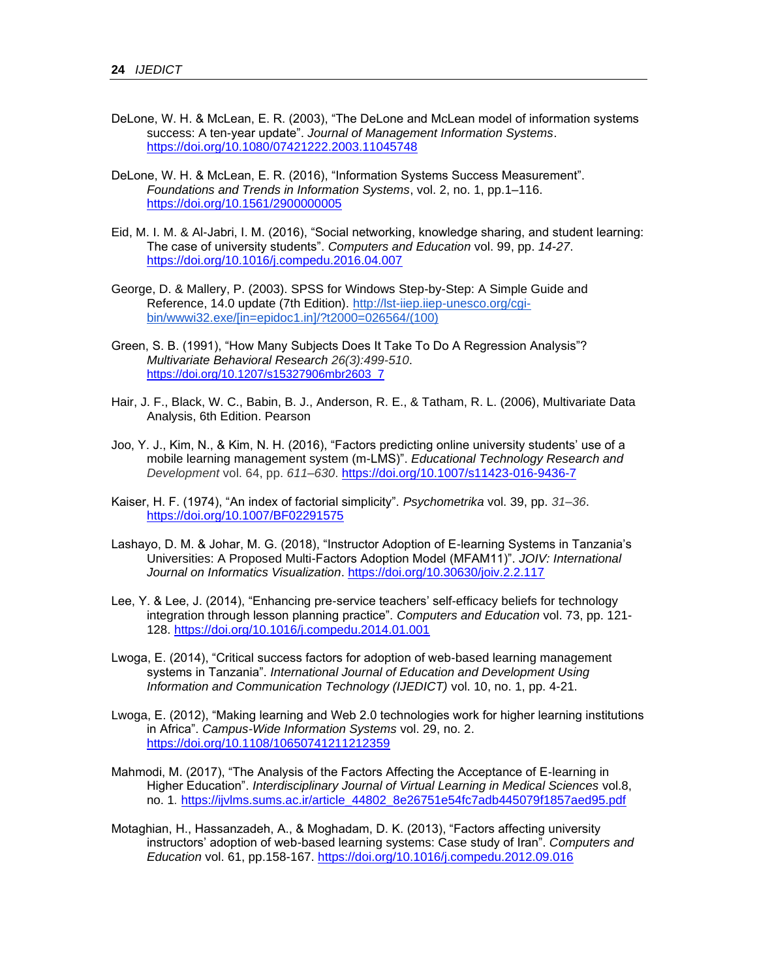- DeLone, W. H. & McLean, E. R. (2003), "The DeLone and McLean model of information systems success: A ten-year update". *Journal of Management Information Systems*. <https://doi.org/10.1080/07421222.2003.11045748>
- DeLone, W. H. & McLean, E. R. (2016), "Information Systems Success Measurement". *Foundations and Trends in Information Systems*, vol. 2, no. 1, pp.1–116. <https://doi.org/10.1561/2900000005>
- Eid, M. I. M. & Al-Jabri, I. M. (2016), "Social networking, knowledge sharing, and student learning: The case of university students". *Computers and Education* vol. 99, pp. *14-27*. <https://doi.org/10.1016/j.compedu.2016.04.007>
- George, D. & Mallery, P. (2003). SPSS for Windows Step-by-Step: A Simple Guide and Reference, 14.0 update (7th Edition). [http://lst-iiep.iiep-unesco.org/cgi](http://lst-iiep.iiep-unesco.org/cgi-bin/wwwi32.exe/%5Bin=epidoc1.in%5D/?t2000=026564/(100))[bin/wwwi32.exe/\[in=epidoc1.in\]/?t2000=026564/\(100\)](http://lst-iiep.iiep-unesco.org/cgi-bin/wwwi32.exe/%5Bin=epidoc1.in%5D/?t2000=026564/(100))
- Green, S. B. (1991), "How Many Subjects Does It Take To Do A Regression Analysis"? *Multivariate Behavioral Research 26(3):499-510*. https://doi.org/10.1207/s15327906mbr2603\_7
- Hair, J. F., Black, W. C., Babin, B. J., Anderson, R. E., & Tatham, R. L. (2006), Multivariate Data Analysis, 6th Edition. Pearson
- Joo, Y. J., Kim, N., & Kim, N. H. (2016), "Factors predicting online university students' use of a mobile learning management system (m-LMS)". *Educational Technology Research and Development* vol. 64, pp. *611–630*. <https://doi.org/10.1007/s11423-016-9436-7>
- Kaiser, H. F. (1974), "An index of factorial simplicity". *Psychometrika* vol. 39, pp. *31–36*. <https://doi.org/10.1007/BF02291575>
- Lashayo, D. M. & Johar, M. G. (2018), "Instructor Adoption of E-learning Systems in Tanzania's Universities: A Proposed Multi-Factors Adoption Model (MFAM11)". *JOIV: International Journal on Informatics Visualization*.<https://doi.org/10.30630/joiv.2.2.117>
- Lee, Y. & Lee, J. (2014), "Enhancing pre-service teachers' self-efficacy beliefs for technology integration through lesson planning practice". *Computers and Education* vol. 73, pp. 121- 128.<https://doi.org/10.1016/j.compedu.2014.01.001>
- Lwoga, E. (2014), "Critical success factors for adoption of web-based learning management systems in Tanzania". *International Journal of Education and Development Using Information and Communication Technology (IJEDICT)* vol. 10, no. 1, pp. 4-21.
- Lwoga, E. (2012), "Making learning and Web 2.0 technologies work for higher learning institutions in Africa". *Campus-Wide Information Systems* vol. 29, no. 2. <https://doi.org/10.1108/10650741211212359>
- Mahmodi, M. (2017), "The Analysis of the Factors Affecting the Acceptance of E-learning in Higher Education". *Interdisciplinary Journal of Virtual Learning in Medical Sciences* vol.8, no. 1*.* [https://ijvlms.sums.ac.ir/article\\_44802\\_8e26751e54fc7adb445079f1857aed95.pdf](https://ijvlms.sums.ac.ir/article_44802_8e26751e54fc7adb445079f1857aed95.pdf)
- Motaghian, H., Hassanzadeh, A., & Moghadam, D. K. (2013), "Factors affecting university instructors' adoption of web-based learning systems: Case study of Iran". *Computers and Education* vol. 61, pp.158-167.<https://doi.org/10.1016/j.compedu.2012.09.016>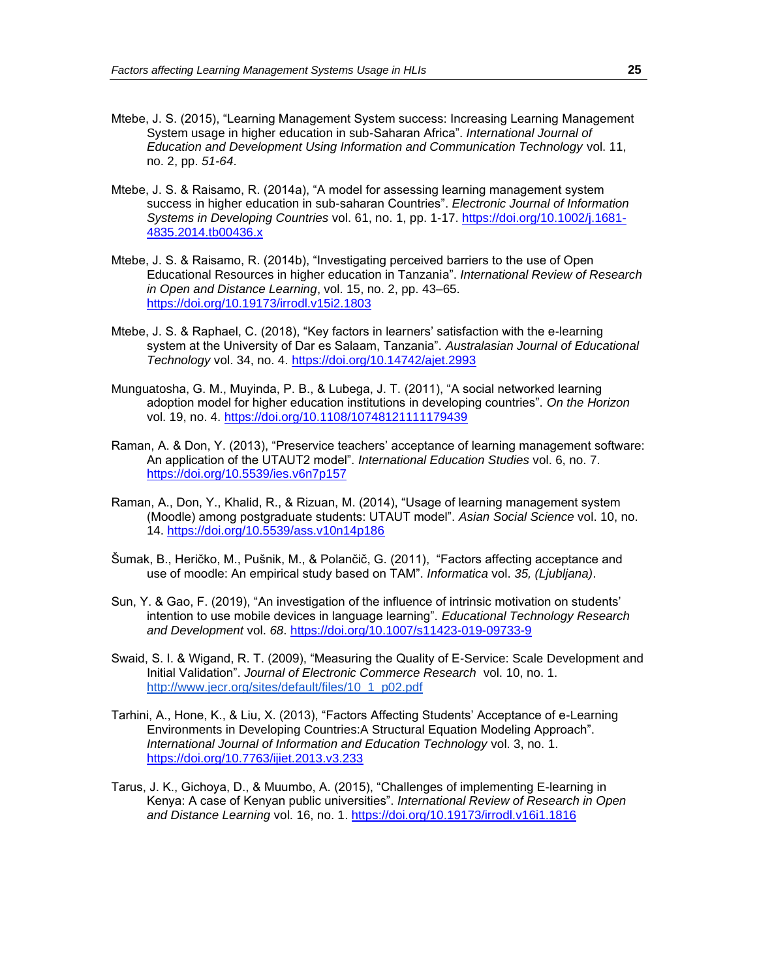- Mtebe, J. S. (2015), "Learning Management System success: Increasing Learning Management System usage in higher education in sub-Saharan Africa". *International Journal of Education and Development Using Information and Communication Technology* vol. 11, no. 2, pp. *51-64*.
- Mtebe, J. S. & Raisamo, R. (2014a), "A model for assessing learning management system success in higher education in sub-saharan Countries". *Electronic Journal of Information Systems in Developing Countries* vol. 61, no. 1, pp. 1-17. [https://doi.org/10.1002/j.1681-](https://doi.org/10.1002/j.1681-4835.2014.tb00436.x) [4835.2014.tb00436.x](https://doi.org/10.1002/j.1681-4835.2014.tb00436.x)
- Mtebe, J. S. & Raisamo, R. (2014b), "Investigating perceived barriers to the use of Open Educational Resources in higher education in Tanzania". *International Review of Research in Open and Distance Learning*, vol. 15, no. 2, pp. 43–65. <https://doi.org/10.19173/irrodl.v15i2.1803>
- Mtebe, J. S. & Raphael, C. (2018), "Key factors in learners' satisfaction with the e-learning system at the University of Dar es Salaam, Tanzania". *Australasian Journal of Educational Technology* vol. 34, no. 4.<https://doi.org/10.14742/ajet.2993>
- Munguatosha, G. M., Muyinda, P. B., & Lubega, J. T. (2011), "A social networked learning adoption model for higher education institutions in developing countries". *On the Horizon*  vol. 19, no. 4.<https://doi.org/10.1108/10748121111179439>
- Raman, A. & Don, Y. (2013), "Preservice teachers' acceptance of learning management software: An application of the UTAUT2 model". *International Education Studies* vol. 6, no. 7. <https://doi.org/10.5539/ies.v6n7p157>
- Raman, A., Don, Y., Khalid, R., & Rizuan, M. (2014), "Usage of learning management system (Moodle) among postgraduate students: UTAUT model". *Asian Social Science* vol. 10, no. 14.<https://doi.org/10.5539/ass.v10n14p186>
- Šumak, B., Heričko, M., Pušnik, M., & Polančič, G. (2011), "Factors affecting acceptance and use of moodle: An empirical study based on TAM". *Informatica* vol. *35, (Ljubljana)*.
- Sun, Y. & Gao, F. (2019), "An investigation of the influence of intrinsic motivation on students' intention to use mobile devices in language learning". *Educational Technology Research and Development* vol. *68*.<https://doi.org/10.1007/s11423-019-09733-9>
- Swaid, S. I. & Wigand, R. T. (2009), "Measuring the Quality of E-Service: Scale Development and Initial Validation". *Journal of Electronic Commerce Research* vol. 10, no. 1. [http://www.jecr.org/sites/default/files/10\\_1\\_p02.pdf](http://www.jecr.org/sites/default/files/10_1_p02.pdf)
- Tarhini, A., Hone, K., & Liu, X. (2013), "Factors Affecting Students' Acceptance of e-Learning Environments in Developing Countries:A Structural Equation Modeling Approach". *International Journal of Information and Education Technology* vol. 3, no. 1. <https://doi.org/10.7763/ijiet.2013.v3.233>
- Tarus, J. K., Gichoya, D., & Muumbo, A. (2015), "Challenges of implementing E-learning in Kenya: A case of Kenyan public universities". *International Review of Research in Open and Distance Learning* vol. 16, no. 1.<https://doi.org/10.19173/irrodl.v16i1.1816>